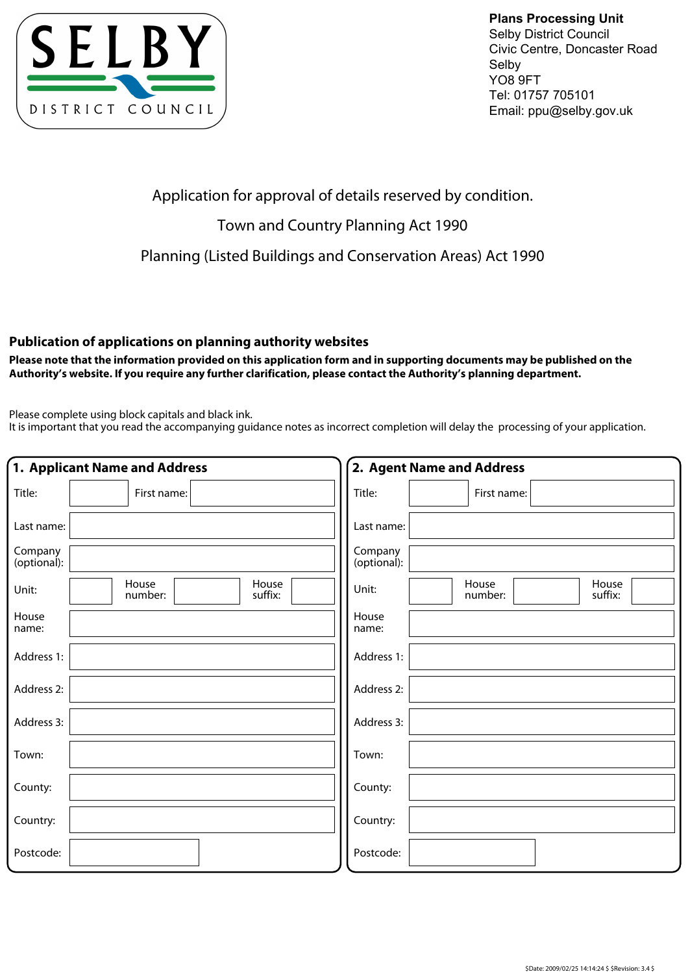

**Plans Processing Unit** Selby District Council Civic Centre, Doncaster Road Selby YO8 9FT Tel: 01757 705101 Email: ppu@selby.gov.uk

Application for approval of details reserved by condition.

## Town and Country Planning Act 1990

Planning (Listed Buildings and Conservation Areas) Act 1990

## **Publication of applications on planning authority websites**

**Please note that the information provided on this application form and in supporting documents may be published on the Authority's website. If you require any further clarification, please contact the Authority's planning department.**

Please complete using block capitals and black ink.

It is important that you read the accompanying guidance notes as incorrect completion will delay the processing of your application.

|                        | 1. Applicant Name and Address        | 2. Agent Name and Address                     |
|------------------------|--------------------------------------|-----------------------------------------------|
| Title:                 | First name:                          | Title:<br>First name:                         |
| Last name:             |                                      | Last name:                                    |
| Company<br>(optional): |                                      | Company<br>(optional):                        |
| Unit:                  | House<br>House<br>suffix:<br>number: | House<br>House<br>Unit:<br>number:<br>suffix: |
| House<br>name:         |                                      | House<br>name:                                |
| Address 1:             |                                      | Address 1:                                    |
| Address 2:             |                                      | Address 2:                                    |
| Address 3:             |                                      | Address 3:                                    |
| Town:                  |                                      | Town:                                         |
| County:                |                                      | County:                                       |
| Country:               |                                      | Country:                                      |
| Postcode:              |                                      | Postcode:                                     |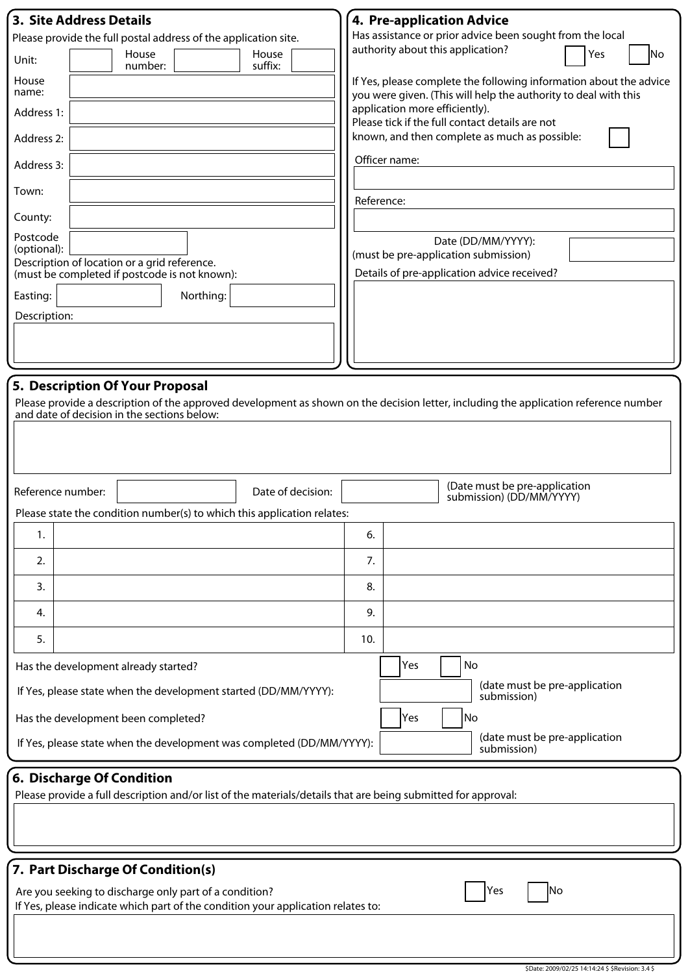| <b>3. Site Address Details</b><br>Please provide the full postal address of the application site.<br>House<br>House<br>Unit:<br>suffix:<br>number:<br>House<br>name:<br>Address 1:<br>Address 2:<br>Address 3:<br>Town:<br>County:<br>Postcode<br>(optional):<br>Description of location or a grid reference.<br>(must be completed if postcode is not known):<br>Northing:<br>Easting:<br>Description: | 4. Pre-application Advice<br>Has assistance or prior advice been sought from the local<br>authority about this application?<br>Yes<br> No<br>If Yes, please complete the following information about the advice<br>you were given. (This will help the authority to deal with this<br>application more efficiently).<br>Please tick if the full contact details are not<br>known, and then complete as much as possible:<br>Officer name:<br>Reference:<br>Date (DD/MM/YYYY):<br>(must be pre-application submission)<br>Details of pre-application advice received? |  |  |  |  |
|---------------------------------------------------------------------------------------------------------------------------------------------------------------------------------------------------------------------------------------------------------------------------------------------------------------------------------------------------------------------------------------------------------|----------------------------------------------------------------------------------------------------------------------------------------------------------------------------------------------------------------------------------------------------------------------------------------------------------------------------------------------------------------------------------------------------------------------------------------------------------------------------------------------------------------------------------------------------------------------|--|--|--|--|
| 5. Description Of Your Proposal<br>Please provide a description of the approved development as shown on the decision letter, including the application reference number<br>and date of decision in the sections below:<br>(Date must be pre-application<br>Date of decision:<br>Reference number:                                                                                                       |                                                                                                                                                                                                                                                                                                                                                                                                                                                                                                                                                                      |  |  |  |  |
| Please state the condition number(s) to which this application relates:                                                                                                                                                                                                                                                                                                                                 | submission) (DD/MM/YYYY)                                                                                                                                                                                                                                                                                                                                                                                                                                                                                                                                             |  |  |  |  |
| 1.                                                                                                                                                                                                                                                                                                                                                                                                      | 6.                                                                                                                                                                                                                                                                                                                                                                                                                                                                                                                                                                   |  |  |  |  |
| 2.                                                                                                                                                                                                                                                                                                                                                                                                      | 7.                                                                                                                                                                                                                                                                                                                                                                                                                                                                                                                                                                   |  |  |  |  |
| 3.                                                                                                                                                                                                                                                                                                                                                                                                      | 8.                                                                                                                                                                                                                                                                                                                                                                                                                                                                                                                                                                   |  |  |  |  |
| 4.                                                                                                                                                                                                                                                                                                                                                                                                      | 9.                                                                                                                                                                                                                                                                                                                                                                                                                                                                                                                                                                   |  |  |  |  |
| 5.                                                                                                                                                                                                                                                                                                                                                                                                      | 10.                                                                                                                                                                                                                                                                                                                                                                                                                                                                                                                                                                  |  |  |  |  |
| Has the development already started?                                                                                                                                                                                                                                                                                                                                                                    | Yes<br>No                                                                                                                                                                                                                                                                                                                                                                                                                                                                                                                                                            |  |  |  |  |
| If Yes, please state when the development started (DD/MM/YYYY):                                                                                                                                                                                                                                                                                                                                         | (date must be pre-application<br>submission)                                                                                                                                                                                                                                                                                                                                                                                                                                                                                                                         |  |  |  |  |
| Yes<br>No<br>Has the development been completed?                                                                                                                                                                                                                                                                                                                                                        |                                                                                                                                                                                                                                                                                                                                                                                                                                                                                                                                                                      |  |  |  |  |
| (date must be pre-application<br>If Yes, please state when the development was completed (DD/MM/YYYY):<br>submission)                                                                                                                                                                                                                                                                                   |                                                                                                                                                                                                                                                                                                                                                                                                                                                                                                                                                                      |  |  |  |  |
| 6. Discharge Of Condition<br>Please provide a full description and/or list of the materials/details that are being submitted for approval:                                                                                                                                                                                                                                                              |                                                                                                                                                                                                                                                                                                                                                                                                                                                                                                                                                                      |  |  |  |  |
| 7. Part Discharge Of Condition(s)                                                                                                                                                                                                                                                                                                                                                                       |                                                                                                                                                                                                                                                                                                                                                                                                                                                                                                                                                                      |  |  |  |  |
| Yes<br>Are you seeking to discharge only part of a condition?<br>lNo<br>If Yes, please indicate which part of the condition your application relates to:                                                                                                                                                                                                                                                |                                                                                                                                                                                                                                                                                                                                                                                                                                                                                                                                                                      |  |  |  |  |
|                                                                                                                                                                                                                                                                                                                                                                                                         |                                                                                                                                                                                                                                                                                                                                                                                                                                                                                                                                                                      |  |  |  |  |

\$Date: 2009/02/25 14:14:24 \$ \$Revision: 3.4 \$